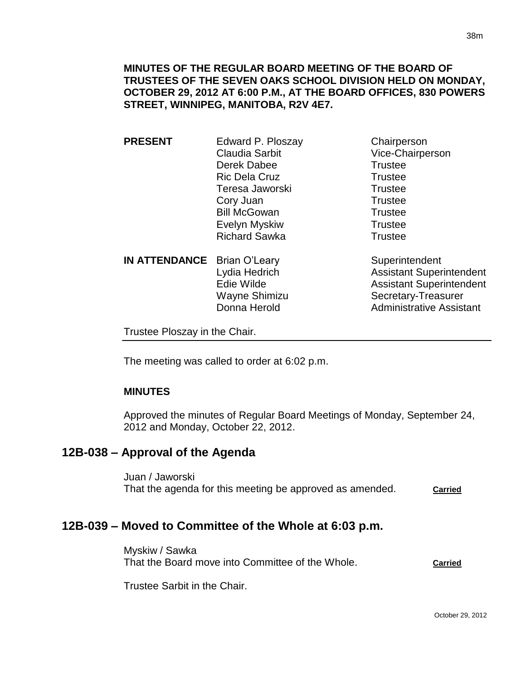**PRESENT** Edward P. Ploszay Chairperson Claudia Sarbit Vice-Chairperson Derek Dabee Trustee Ric Dela Cruz **Trustee** Teresa Jaworski **Trustee** Cory Juan Trustee Bill McGowan Trustee Evelyn Myskiw **Trustee** Richard Sawka Trustee

**IN ATTENDANCE** Brian O'Leary Superintendent

Lydia Hedrich **Assistant Superintendent** Edie Wilde **Assistant Superintendent** Wayne Shimizu Secretary-Treasurer Donna Herold **Administrative Assistant** 

Trustee Ploszay in the Chair.

The meeting was called to order at 6:02 p.m.

# **MINUTES**

Approved the minutes of Regular Board Meetings of Monday, September 24, 2012 and Monday, October 22, 2012.

# **12B-038 – Approval of the Agenda**

Juan / Jaworski That the agenda for this meeting be approved as amended. **Carried**

# **12B-039 – Moved to Committee of the Whole at 6:03 p.m.**

Myskiw / Sawka That the Board move into Committee of the Whole. **Carried**

Trustee Sarbit in the Chair.

38m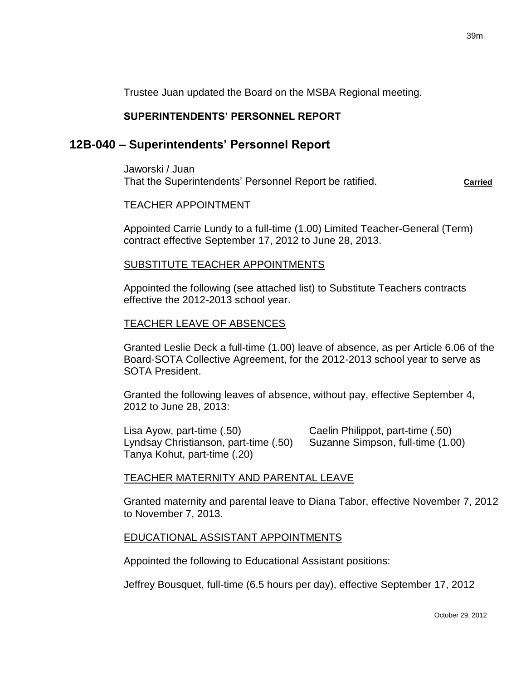Trustee Juan updated the Board on the MSBA Regional meeting.

# **SUPERINTENDENTS' PERSONNEL REPORT**

# **12B-040 – Superintendents' Personnel Report**

Jaworski / Juan That the Superintendents' Personnel Report be ratified. **Carried**

#### TEACHER APPOINTMENT

Appointed Carrie Lundy to a full-time (1.00) Limited Teacher-General (Term) contract effective September 17, 2012 to June 28, 2013.

## SUBSTITUTE TEACHER APPOINTMENTS

Appointed the following (see attached list) to Substitute Teachers contracts effective the 2012-2013 school year.

## TEACHER LEAVE OF ABSENCES

Granted Leslie Deck a full-time (1.00) leave of absence, as per Article 6.06 of the Board-SOTA Collective Agreement, for the 2012-2013 school year to serve as SOTA President.

Granted the following leaves of absence, without pay, effective September 4, 2012 to June 28, 2013:

Lisa Ayow, part-time (.50) Caelin Philippot, part-time (.50) Lyndsay Christianson, part-time (.50) Suzanne Simpson, full-time (1.00) Tanya Kohut, part-time (.20)

# TEACHER MATERNITY AND PARENTAL LEAVE

Granted maternity and parental leave to Diana Tabor, effective November 7, 2012 to November 7, 2013.

#### EDUCATIONAL ASSISTANT APPOINTMENTS

Appointed the following to Educational Assistant positions:

Jeffrey Bousquet, full-time (6.5 hours per day), effective September 17, 2012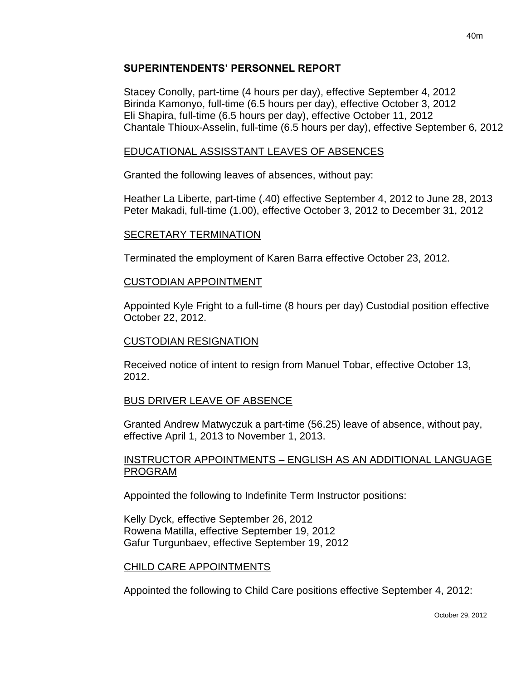#### **SUPERINTENDENTS' PERSONNEL REPORT**

Stacey Conolly, part-time (4 hours per day), effective September 4, 2012 Birinda Kamonyo, full-time (6.5 hours per day), effective October 3, 2012 Eli Shapira, full-time (6.5 hours per day), effective October 11, 2012 Chantale Thioux-Asselin, full-time (6.5 hours per day), effective September 6, 2012

## EDUCATIONAL ASSISSTANT LEAVES OF ABSENCES

Granted the following leaves of absences, without pay:

Heather La Liberte, part-time (.40) effective September 4, 2012 to June 28, 2013 Peter Makadi, full-time (1.00), effective October 3, 2012 to December 31, 2012

## SECRETARY TERMINATION

Terminated the employment of Karen Barra effective October 23, 2012.

#### CUSTODIAN APPOINTMENT

Appointed Kyle Fright to a full-time (8 hours per day) Custodial position effective October 22, 2012.

#### CUSTODIAN RESIGNATION

Received notice of intent to resign from Manuel Tobar, effective October 13, 2012.

# BUS DRIVER LEAVE OF ABSENCE

Granted Andrew Matwyczuk a part-time (56.25) leave of absence, without pay, effective April 1, 2013 to November 1, 2013.

#### INSTRUCTOR APPOINTMENTS – ENGLISH AS AN ADDITIONAL LANGUAGE PROGRAM

Appointed the following to Indefinite Term Instructor positions:

Kelly Dyck, effective September 26, 2012 Rowena Matilla, effective September 19, 2012 Gafur Turgunbaev, effective September 19, 2012

#### CHILD CARE APPOINTMENTS

Appointed the following to Child Care positions effective September 4, 2012: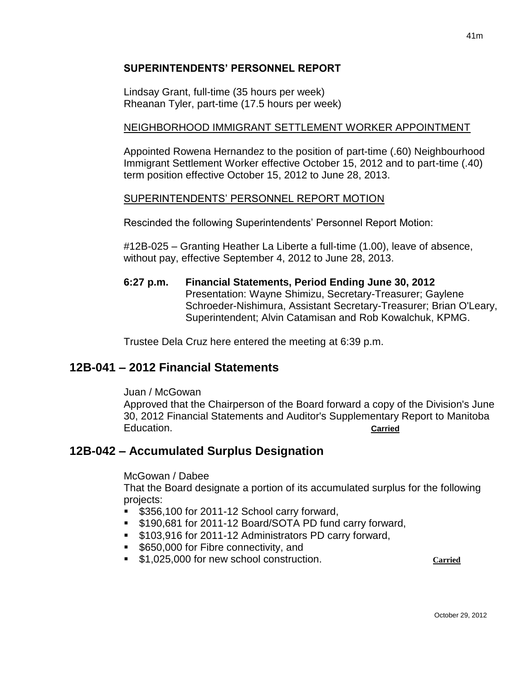## **SUPERINTENDENTS' PERSONNEL REPORT**

Lindsay Grant, full-time (35 hours per week) Rheanan Tyler, part-time (17.5 hours per week)

## NEIGHBORHOOD IMMIGRANT SETTLEMENT WORKER APPOINTMENT

Appointed Rowena Hernandez to the position of part-time (.60) Neighbourhood Immigrant Settlement Worker effective October 15, 2012 and to part-time (.40) term position effective October 15, 2012 to June 28, 2013.

## SUPERINTENDENTS' PERSONNEL REPORT MOTION

Rescinded the following Superintendents' Personnel Report Motion:

#12B-025 – Granting Heather La Liberte a full-time (1.00), leave of absence, without pay, effective September 4, 2012 to June 28, 2013.

**6:27 p.m. Financial Statements, Period Ending June 30, 2012**  Presentation: Wayne Shimizu, Secretary-Treasurer; Gaylene Schroeder-Nishimura, Assistant Secretary-Treasurer; Brian O'Leary, Superintendent; Alvin Catamisan and Rob Kowalchuk, KPMG.

Trustee Dela Cruz here entered the meeting at 6:39 p.m.

# **12B-041 – 2012 Financial Statements**

Juan / McGowan

Approved that the Chairperson of the Board forward a copy of the Division's June 30, 2012 Financial Statements and Auditor's Supplementary Report to Manitoba Education. **Carried**

# **12B-042 – Accumulated Surplus Designation**

#### McGowan / Dabee

That the Board designate a portion of its accumulated surplus for the following projects:

- **\$356,100 for 2011-12 School carry forward,**
- **S190,681 for 2011-12 Board/SOTA PD fund carry forward,**
- **5103,916 for 2011-12 Administrators PD carry forward,**
- **5650,000 for Fibre connectivity, and**
- **51,025,000 for new school construction. Carried** Carried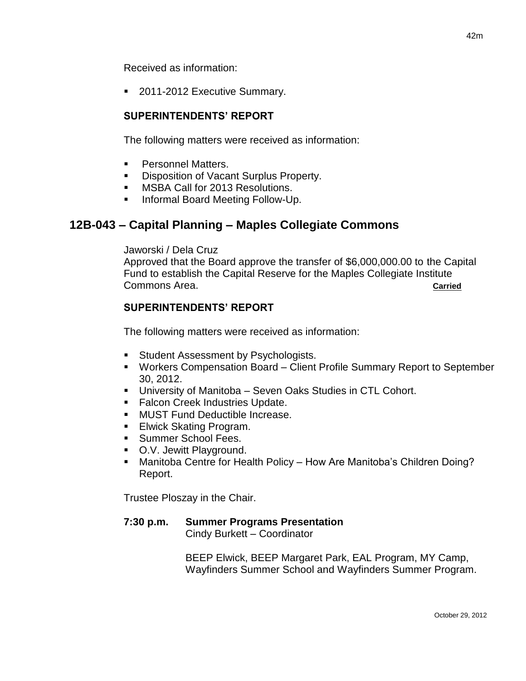Received as information:

**2011-2012 Executive Summary.** 

# **SUPERINTENDENTS' REPORT**

The following matters were received as information:

- Personnel Matters.
- **Disposition of Vacant Surplus Property.**
- **MSBA Call for 2013 Resolutions.**
- **Informal Board Meeting Follow-Up.**

# **12B-043 – Capital Planning – Maples Collegiate Commons**

Jaworski / Dela Cruz

Approved that the Board approve the transfer of \$6,000,000.00 to the Capital Fund to establish the Capital Reserve for the Maples Collegiate Institute Commons Area. **Carried**

# **SUPERINTENDENTS' REPORT**

The following matters were received as information:

- **Student Assessment by Psychologists.**
- Workers Compensation Board Client Profile Summary Report to September 30, 2012.
- University of Manitoba Seven Oaks Studies in CTL Cohort.
- **Falcon Creek Industries Update.**
- **MUST Fund Deductible Increase.**
- **Elwick Skating Program.**
- Summer School Fees.
- O.V. Jewitt Playground.
- Manitoba Centre for Health Policy How Are Manitoba's Children Doing? Report.

Trustee Ploszay in the Chair.

#### **7:30 p.m. Summer Programs Presentation** Cindy Burkett – Coordinator

BEEP Elwick, BEEP Margaret Park, EAL Program, MY Camp, Wayfinders Summer School and Wayfinders Summer Program.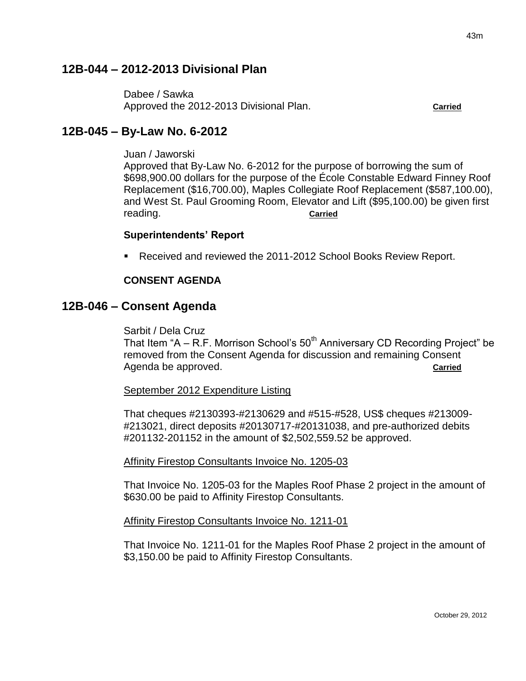# **12B-044 – 2012-2013 Divisional Plan**

Dabee / Sawka Approved the 2012-2013 Divisional Plan. **Carried**

# **12B-045 – By-Law No. 6-2012**

Juan / Jaworski

Approved that By-Law No. 6-2012 for the purpose of borrowing the sum of \$698,900.00 dollars for the purpose of the École Constable Edward Finney Roof Replacement (\$16,700.00), Maples Collegiate Roof Replacement (\$587,100.00), and West St. Paul Grooming Room, Elevator and Lift (\$95,100.00) be given first reading. **Carried**

#### **Superintendents' Report**

Received and reviewed the 2011-2012 School Books Review Report.

#### **CONSENT AGENDA**

## **12B-046 – Consent Agenda**

Sarbit / Dela Cruz

That Item "A – R.F. Morrison School's  $50<sup>th</sup>$  Anniversary CD Recording Project" be removed from the Consent Agenda for discussion and remaining Consent Agenda be approved. **Carried Carried Carried Carried** 

September 2012 Expenditure Listing

That cheques #2130393-#2130629 and #515-#528, US\$ cheques #213009- #213021, direct deposits #20130717-#20131038, and pre-authorized debits #201132-201152 in the amount of \$2,502,559.52 be approved.

Affinity Firestop Consultants Invoice No. 1205-03

That Invoice No. 1205-03 for the Maples Roof Phase 2 project in the amount of \$630.00 be paid to Affinity Firestop Consultants.

#### Affinity Firestop Consultants Invoice No. 1211-01

That Invoice No. 1211-01 for the Maples Roof Phase 2 project in the amount of \$3,150.00 be paid to Affinity Firestop Consultants.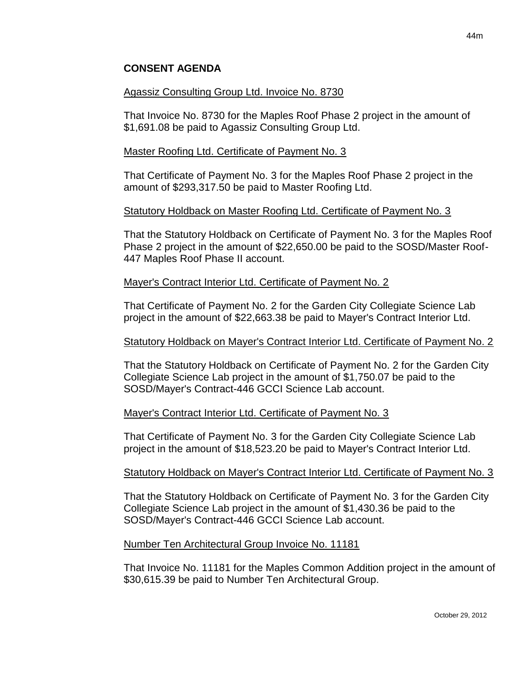### **CONSENT AGENDA**

#### Agassiz Consulting Group Ltd. Invoice No. 8730

That Invoice No. 8730 for the Maples Roof Phase 2 project in the amount of \$1,691.08 be paid to Agassiz Consulting Group Ltd.

#### Master Roofing Ltd. Certificate of Payment No. 3

That Certificate of Payment No. 3 for the Maples Roof Phase 2 project in the amount of \$293,317.50 be paid to Master Roofing Ltd.

#### Statutory Holdback on Master Roofing Ltd. Certificate of Payment No. 3

That the Statutory Holdback on Certificate of Payment No. 3 for the Maples Roof Phase 2 project in the amount of \$22,650.00 be paid to the SOSD/Master Roof-447 Maples Roof Phase II account.

#### Mayer's Contract Interior Ltd. Certificate of Payment No. 2

That Certificate of Payment No. 2 for the Garden City Collegiate Science Lab project in the amount of \$22,663.38 be paid to Mayer's Contract Interior Ltd.

#### Statutory Holdback on Mayer's Contract Interior Ltd. Certificate of Payment No. 2

That the Statutory Holdback on Certificate of Payment No. 2 for the Garden City Collegiate Science Lab project in the amount of \$1,750.07 be paid to the SOSD/Mayer's Contract-446 GCCI Science Lab account.

#### Mayer's Contract Interior Ltd. Certificate of Payment No. 3

That Certificate of Payment No. 3 for the Garden City Collegiate Science Lab project in the amount of \$18,523.20 be paid to Mayer's Contract Interior Ltd.

#### Statutory Holdback on Mayer's Contract Interior Ltd. Certificate of Payment No. 3

That the Statutory Holdback on Certificate of Payment No. 3 for the Garden City Collegiate Science Lab project in the amount of \$1,430.36 be paid to the SOSD/Mayer's Contract-446 GCCI Science Lab account.

#### Number Ten Architectural Group Invoice No. 11181

That Invoice No. 11181 for the Maples Common Addition project in the amount of \$30,615.39 be paid to Number Ten Architectural Group.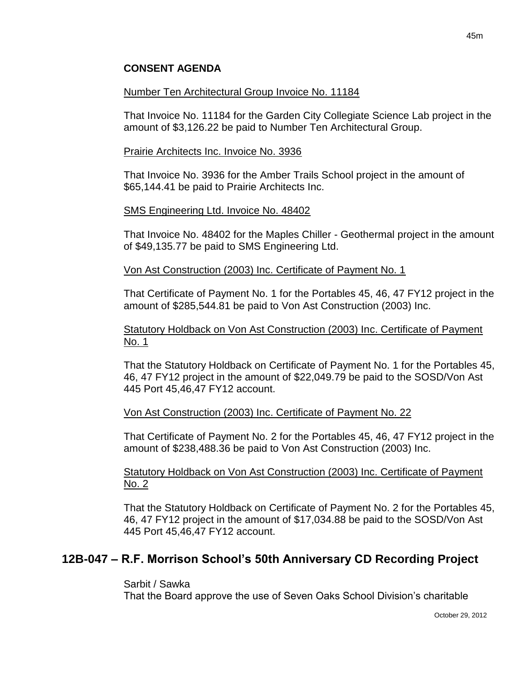#### **CONSENT AGENDA**

#### Number Ten Architectural Group Invoice No. 11184

That Invoice No. 11184 for the Garden City Collegiate Science Lab project in the amount of \$3,126.22 be paid to Number Ten Architectural Group.

#### Prairie Architects Inc. Invoice No. 3936

That Invoice No. 3936 for the Amber Trails School project in the amount of \$65,144.41 be paid to Prairie Architects Inc.

#### SMS Engineering Ltd. Invoice No. 48402

That Invoice No. 48402 for the Maples Chiller - Geothermal project in the amount of \$49,135.77 be paid to SMS Engineering Ltd.

#### Von Ast Construction (2003) Inc. Certificate of Payment No. 1

That Certificate of Payment No. 1 for the Portables 45, 46, 47 FY12 project in the amount of \$285,544.81 be paid to Von Ast Construction (2003) Inc.

#### Statutory Holdback on Von Ast Construction (2003) Inc. Certificate of Payment No. 1

That the Statutory Holdback on Certificate of Payment No. 1 for the Portables 45, 46, 47 FY12 project in the amount of \$22,049.79 be paid to the SOSD/Von Ast 445 Port 45,46,47 FY12 account.

#### Von Ast Construction (2003) Inc. Certificate of Payment No. 22

That Certificate of Payment No. 2 for the Portables 45, 46, 47 FY12 project in the amount of \$238,488.36 be paid to Von Ast Construction (2003) Inc.

#### Statutory Holdback on Von Ast Construction (2003) Inc. Certificate of Payment No. 2

That the Statutory Holdback on Certificate of Payment No. 2 for the Portables 45, 46, 47 FY12 project in the amount of \$17,034.88 be paid to the SOSD/Von Ast 445 Port 45,46,47 FY12 account.

# **12B-047 – R.F. Morrison School's 50th Anniversary CD Recording Project**

#### Sarbit / Sawka

That the Board approve the use of Seven Oaks School Division's charitable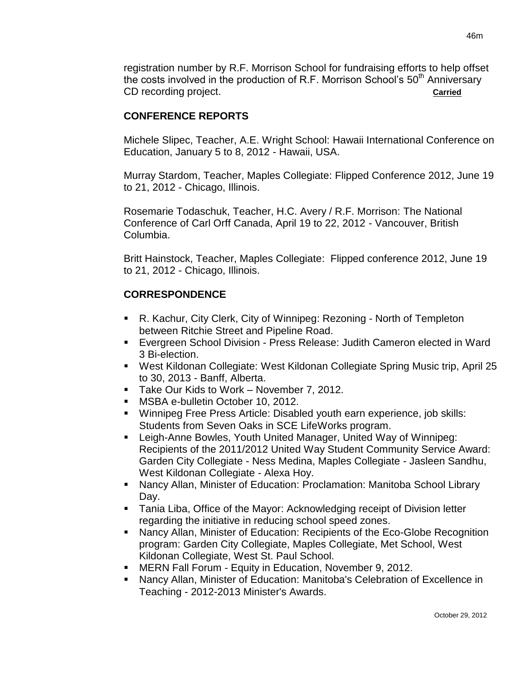registration number by R.F. Morrison School for fundraising efforts to help offset the costs involved in the production of R.F. Morrison School's  $50<sup>th</sup>$  Anniversary CD recording project. **Carried**

## **CONFERENCE REPORTS**

Michele Slipec, Teacher, A.E. Wright School: Hawaii International Conference on Education, January 5 to 8, 2012 - Hawaii, USA.

Murray Stardom, Teacher, Maples Collegiate: Flipped Conference 2012, June 19 to 21, 2012 - Chicago, Illinois.

Rosemarie Todaschuk, Teacher, H.C. Avery / R.F. Morrison: The National Conference of Carl Orff Canada, April 19 to 22, 2012 - Vancouver, British Columbia.

Britt Hainstock, Teacher, Maples Collegiate: Flipped conference 2012, June 19 to 21, 2012 - Chicago, Illinois.

# **CORRESPONDENCE**

- R. Kachur, City Clerk, City of Winnipeg: Rezoning North of Templeton between Ritchie Street and Pipeline Road.
- Evergreen School Division Press Release: Judith Cameron elected in Ward 3 Bi-election.
- West Kildonan Collegiate: West Kildonan Collegiate Spring Music trip, April 25 to 30, 2013 - Banff, Alberta.
- **Take Our Kids to Work November 7, 2012.**
- MSBA e-bulletin October 10, 2012.
- Winnipeg Free Press Article: Disabled youth earn experience, job skills: Students from Seven Oaks in SCE LifeWorks program.
- Leigh-Anne Bowles, Youth United Manager, United Way of Winnipeg: Recipients of the 2011/2012 United Way Student Community Service Award: Garden City Collegiate - Ness Medina, Maples Collegiate - Jasleen Sandhu, West Kildonan Collegiate - Alexa Hoy.
- Nancy Allan, Minister of Education: Proclamation: Manitoba School Library Day.
- **Tania Liba, Office of the Mayor: Acknowledging receipt of Division letter** regarding the initiative in reducing school speed zones.
- Nancy Allan, Minister of Education: Recipients of the Eco-Globe Recognition program: Garden City Collegiate, Maples Collegiate, Met School, West Kildonan Collegiate, West St. Paul School.
- MERN Fall Forum Equity in Education, November 9, 2012.
- Nancy Allan, Minister of Education: Manitoba's Celebration of Excellence in Teaching - 2012-2013 Minister's Awards.